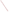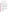### **AGENCY:** U.S. ENVIRONMENTAL PROTECTION AGENCY (EPA)

**TITLE**: Indoor Environments: Reducing Public Exposure to Indoor Pollutants

**ACTION**: Request for Application - Initial Announcement

**RFA NO.**: EPA-OAR-IED-05-21

# **CATALOG OF FEDERAL DOMESTIC ASSISTANCE (CFDA) NO**: 66.034

# **DATES:**

The closing date for receipt of concept proposals is **Monday, December 12, 2005 at 4:00 pm Eastern Standard Time (EST).**

The proposals **MUST** be received by the contact point listed in Stage 3, Section III, C. 3, on or before the deadline date and time above**. NO LATE PROPOSALS WILL BE CONSIDERED.** 

Due to the unique circumstances involving U.S. postal mail screening *(that can delay delivery by several weeks),* EPA strongly recommends that express mail option (i.e., FedEx, UPS, DHL, etc.) be used to submit all materials.

- 1. A pre-proposal conference call will be held on **Tuesday, October 25, 2005 from 2:00 pm to 4:00 pm EST**. If you are interested in participating in this conference call please send an e-mail to "iaq.rfa@epa.gov" providing your organization's contact information (see Section IV, Stage 1) by **Wednesday, October 19, 2005**.
- 2. A concept proposal consisting of a cover letter of up to two pages, SF-424, 424A and B, and a narrative workplan of up to 12 pages is due on or before **Monday, December 12, 2005 at 4:00 pm EST** (see Section IV, Stage 2).

# **SUMMARY**

EPA seeks applications from eligible entities for projects to support demonstration, training, outreach and/or education cooperative agreements that reduce exposure to indoor air pollutants and yield measurable environmental outcomes.

**FUNDING/AWARDS:** The total estimated funding for this competitive opportunity is approximately \$3-4 million. EPA anticipates award of 20-25 cooperative agreements resulting from this announcement, subject to availability of funds and the quality of applications received.

# **CONTENTS BY SECTION**

- I. Funding Opportunity Description
- II. Award Information
- III. Eligibility Information
- IV. Application and Submission Information
- V. Application Review Information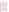- VI. Award Administration Information
- VII. Agency Contacts
- VIII. Other Information

# **I. FUNDING OPPORTUNITY DESCRIPTION**

### **A. Background**

The goal of this Request for Applications (RFA) is to support demonstration, training, outreach and/or education projects that are aligned with EPA's strategic objective to increase the number of people breathing healthier indoor air as well as our indoor air pollutant priority air objectives and the agency's annual measures and long-term measures detailed in I.C.1.

Title IV of the Superfund Amendments and Reauthorization Act of 1986 (SARA) directs EPA to conduct and coordinate research and develop and disseminate information on all aspects of indoor air quality. In addition, Title III of the Toxic Substances Control Act (TSCA) directs EPA to undertake a variety of activities to address the public health risks posed by exposures to indoor radon. The law directs EPA to study the health effects of radon, assess exposure levels, set an action level and advise the public of steps they can take to reduce exposure, evaluate mitigation methods, and assist states with program development through the administration of a grants program.

Under Clean Air Act (CAA) §103, EPA is authorized to conduct, and promote the coordination and acceleration of, research, investigations, experiments, demonstrations, surveys, studies, and training relating to the causes, effects, extent, prevention, and control of air pollution. Section 103(b) of the Clean Air Act authorizes EPA to make grants to public or non-profit agencies, institutions, and organizations, to support these activities.

Based on several reports and studies conducted or commissioned by EPA since the 1980's, EPA has identified and characterized significant risks to public health from environmental contaminants that are commonly found in a wide range of buildings, including homes, schools, and office buildings.

Most Americans spend about 90% of their time indoors, primarily in homes, schools and office buildings. Indoor levels of air pollution may be 2-5 times higher, and occasionally 100 times higher, than outdoor levels. Sources of indoor pollution are diverse, ranging from natural sources (e.g., radon, mold and moisture) to products used indoors (e.g., finishes, furnishings, and cleaning products) to indoor processes and behaviors (e.g., smoking, use of unvented combustion sources, cleaning, operation and maintenance procedures). Building systems, as well as the many products and materials used indoors, have a direct influence on the type and amount of exposure building occupants may experience from environmental contaminants indoors. Human exposure to unhealthy indoor air in buildings can be reduced through better design, construction, operation and maintenance practices, and mitigation of other indoor air quality problems.

EPA strives to improve indoor air quality (IAQ) and reduce associated human health risks, such as asthma attacks, posed by pollutants in indoor environments/building types described below. This is accomplished by increasing awareness and understanding of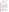indoor air quality principles and risks, as well as by promoting appropriate voluntary practices and risk reduction actions by the public and key stakeholders to improve IAQ. EPA is also committed to working with disproportionately impacted populations and tribes to reduce risks from poor IAQ.

EPA encourages submission of innovative demonstration, training, outreach and/or education projects that achieve environmental results in indoor air quality priority areas (i.e., indoor air pollutants and/or building types).

**Indoor air pollutants** include:

### **Radon**

Radon is a naturally-occurring colorless, odorless gas and the second leading cause of lung cancer in the U.S., after smoking. Based on analysis by the National Academy of Sciences, EPA estimates that radon is responsible for approximately 21,000 deaths per year. Nearly one in 15 homes has radon concentrations above the EPA recommended action level.

Since the mid -1980s, the United States has made significant progress in reducing the risk from exposure to radon. This progress is the result of a long-term effort between EPA, citizens, non-profit organizations, state, local and tribal governments, the business community, and other Federal agencies working together. EPA partners include State radon programs that are supported by State Indoor Radon Grants, non-profit environmental health advocacy organizations, home builders, and the radon service industry. Today, more Americans are knowledgeable about radon than at any time since the mid-1980's, when radon became a national health concern. Approximately two thirds of Americans are generally aware of radon as an environmental health hazard. Since the mid-1980's, millions of homes have been tested for radon, and over 500,000 homes now have working active mitigation systems. Approximately 1.3 million new homes have been built with radon resistant features since 1990. EPA continues to focus its efforts and those of its partners on achieving actual risk reduction through the mitigation of existing homes and the building of new homes to be radon resistant. EPA is also encouraging integrated Air Toxics Reduction Programs to include radon which is listed as an air toxic under the Clean Air Act.

#### **Indoor Asthma Triggers**

An estimated 20 million people in the United States have asthma, including 6 million children. The number of children with asthma has more than doubled since 1980. In addition, there are disturbing and significant racial and ethnic disparities in asthma morbidity and mortality in the United States; African-Americans continue to have higher rates of asthma emergency room visits, hospitalizations, and deaths than Caucasians.

While the mechanisms that cause asthma are complex and prevalence rates vary among population groups, there is substantial evidence that indoor exposures to irritants such as environmental tobacco smoke (ETS) and allergens from house dust mites, pests, molds, and animals play a significant role in triggering asthma episodes, and, in some instances (ETS and dust mites), are causally linked to the development of the disease. For the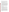purpose of this RFA, all asthma irritants and environmental triggers are considered pollutants.

A recent EPA survey found that while fifty-eight percent of all people with asthma have had their personal asthma triggers diagnosed by a physician, less than thirty percent of people with asthma are taking all of the essential actions to reduce their exposure to indoor environmental asthma triggers. Additionally, children with asthma were just as likely to be exposed to ETS in their home as children in general and ETS exposure is significantly higher in households at or below the poverty-level and in households with a lower educational level (less than a college degree).

As part of a coordinated federal strategy to reduce the environmental factors contributing to asthma attacks among children in the U.S., EPA plays a significant role in ensuring that environmental factors are addressed as part of a comprehensive asthma management program. Through these efforts, EPA strives to improve environmental health outcomes for people with asthma -- including segments of the population that are disproportionately impacted such as children and low-income individuals by: 1) increasing knowledge of the importance of working with a doctor, developing an asthma action plan, and identifying personal asthma triggers; 2) fostering acquisition of new skills and behavior changes to reduce exposure to environmental asthma triggers in the home, school and/or workplace; and 3) impacting the type and quality of care provided to people with asthma. To accomplish this, EPA works directly with people with asthma as well as with a variety of stakeholders, including health care providers, commercial and public health insurers, state agencies, child care and school personnel, community-based organizations, and coalitions.

#### **Environmental Tobacco Smoke**

Environmental tobacco smoke poses risks to all segments of the population; however children are especially vulnerable because they are still growing and developing. Exposure to environmental tobacco smoke causes serious health effects in children, including bronchitis, pneumonia, ear infections, worsened asthma and has been associated with sudden infant death syndrome. For children, particularly young children, the most likely place of exposure is their home. In the U.S., 11% of homes with children aged six and younger currently allow smoking.

EPA has a multi-prong program that focuses on reducing children's exposure to ETS by: 1) increasing the knowledge of the harmful health effects from children's exposure to ETS; 2) promoting individual behavior changes to create and sustain smoke-free environments for children, including homes, cars, child care facilities, schools and other environments where children spend time; and 3) sustaining current and building new institutional systems that support and encourage smoke-free environments for children through national social services agencies, health care systems, and other child-focused organizations. EPA uses a number of channels to deliver the education and encourage behavior change including health care providers, schools, child care centers, communitybased organizations/coalitions, parent groups, and state, local, and federal agencies. EPA focuses on raising awareness and action in low-income, low-education populations**.** ETS is comprised of more than 4,000 substances, several of which are listed as air toxics under the Clean Air Act.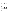#### **Air Toxics**

EPA assists local communities in the design and implementation of effective integrated air toxics reduction programs. EPA partners with communities to put into place multistakeholder air toxic reduction campaigns which achieve measurable reductions from stationary, indoor, and mobile sources of air toxics.

#### **Building types** include:

#### **Schools**

According to the U.S. Department of Education's National Center for Education Statistics, in 1999, 43% of America's public schools reported at least one unsatisfactory environmental condition (i.e., lighting, heating, ventilation, indoor air quality, acoustics or noise control). Approximately 25% of public schools reported that ventilation was unsatisfactory, while IAQ was reported to be unsatisfactory in about 20% of schools. Further reports from the U.S. General Accountability Office indicate that public elementary and secondary schools in the U.S. need guidance about how to identify, prevent, and correct environmental problems in school buildings that can impact the health and comfort of students and staff and result in increased human health risks such as asthma attacks. These problems are often related to improper operation, deferred maintenance of building facilities, as well as poor design, construction and/or renovation practices. Poor IAQ can impact the comfort and health of students and staff, which in turn can affect concentration, attendance, and student performance.

EPA's goal is to ensure good IAQ management practices are used in urban, suburban, rural, and tribal K-12 public and private schools nationwide and promote holistic approaches that help schools address the entire range of environmental issues that they face. In 1995, EPA developed the voluntary *Indoor Air Quality Tools for Schools (IAQ TfS)* kit in response to complaints of poor indoor air quality in schools and the alarming rise in cases of asthma among school and preschool age children. The kit provides stepby-step guidance that enables schools to prevent, identify, and resolve indoor air quality problems in order to provide a healthier learning and teaching environment. In 2003, EPA released the web-based *IAQ Design Tools for Schools* to assist school facility planners, designers and others involved in the planning and construction of school facilities in creating high performance school facilities that provide superior indoor air quality while also saving energy and resources. In October 2005, EPA will release a unique software tool to help school districts establish and manage comprehensive voluntary school facility self-assessment programs. Together, these tools and resources can be used by school districts to design, build, maintain and continually evaluate their school facilities for key environmental, safety and health issues and protect the health and safety of children and staff. EPA's goal is for all schools to use *IAQ TfS*, or comparable IAQ practices, to ensure a strong IAQ management plans and subsequent improved IAQ in schools.

EPA offers school districts and communities specialized training and recognition opportunities, such as the *IAQ TfS* Awards Program, and produces education and outreach documents to raise awareness about the importance of good IAQ practices and ensuring healthy school environments.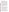#### **Public and Commercial Buildings**

An estimated 45% of the workforce in office buildings with no use of best IAQ practices report at least one health symptom related to the workplace. In addition, on average there is a reported 3% productivity loss due to IEQ in office buildings. Indoor air quality concerns in public and commercial buildings, such as office buildings, include: inadequate ventilation and pollutants from indoor sources (e.g., building materials, furnishings, cleaning products, pesticides, mold, office equipment, poor operation and maintenance practices, and other occupant activities) and outdoor sources (e.g., trash dumpsters, radon, vehicle exhaust, industrial stacks, construction, pesticide applications and other facility maintenance practices). It is estimated that Americans spend approximately \$12-20 billion dollars annually to improve their indoor air quality.

To improve IAQ in public and commercial buildings, EPA identifies best practices and develops guidance and tools for those involved in building design, construction, renovation, and operations and maintenance activities. Current tools include the Indoor Air Quality Building Education and Assessment Model (I-BEAM), an interactive computer program with extensive information on how to manage offices and other large buildings in ways that protect the health of their occupants. EPA plans to begin developing and releasing additional public and commercial guidance and tools in the next few years. EPA has begun a related outreach effort to increase awareness of IAQ among building professionals, including partnerships with key industry associations and green building programs, and coordination with EPA's ENERGY STAR program for commercial buildings. EPA welcomes proposals that are consistent with green building programs and principles.

#### **Homes**

Some of the major indoor air contaminants found in the home include radon, environmental tobacco smoke, mold, irritant and allergenic asthma triggers, combustion by-products and volatile organic compounds released from cleaning products, building materials, and furnishings. People spend 60% or more of their time in their homes, more than in any other building type and therefore may be potentially exposed to several of these contaminants for extended periods of time. The section on indoor air pollutants, above, discusses some of the public health impacts and ways in which homeowners can be educated on strategies to reduce risks from many of these pollutants

IAQ in homes also could be greatly improved through demonstration, training, outreach and/or education on IAQ best practices for the homebuilding trades, which have significant potential to protect and enhance IAQ through their design, construction and renovation activities. Current EPA IAQ programs aimed at the homebuilding trades include the Radon Resistant New Construction guidance.

EPA is developing a companion label to the ENERGY STAR for homes label to help the new construction industry adopt a variety of construction practices and technologies that decrease the risk of poor IAQ in their new homes. This label, referred to as ENERGY STAR with Indoor Air Package, is currently being piloted through the proven ENERGY STAR for Homes program, which has resulted in voluntary ENERGY STAR labeling of over 400,000 new homes. A pilot project limited to only a few locations is currently underway. The draft specifications for the Indoor Air Package being used in this pilot are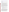available on the Internet at: http://www.energystar.gov/homes. These draft specifications illustrate EPA's primary IAQ concerns in homes, and proposed best practices for meeting these concerns.

More information about EPA's Indoor Environments Program is available on the Internet at http://www.epa.gov/iaq/.

#### **B. Scope of Work**

The goal of EPA's Indoor Environments Program is to reduce the environmental health risks posed by contaminants in indoor environments. This is achieved first through the use of sound science to gain a better understanding of environmental health risks as well as effective prevention and control methods. This knowledge is then used to promote appropriate environmental risk reduction activities through voluntary actions by the general public and key stakeholders to improve indoor air quality.

EPA is soliciting proposals from eligible entities (described in Section III.A) to conduct demonstration, training, education, and/or outreach projects that seek to reduce exposure to indoor air pollutants. Demonstrations generally must involve new or experimental technologies, methods, or approaches, where the results of the project will be disseminated so that others can benefit from the knowledge gained in the demonstration project. A project that is accomplished through the performance of routine, traditional, or established practices, or a project that is simply intended to carry out a task rather than transfer information or advance the state of knowledge, however worthwhile the project might be, is not a demonstration. Proposals that address stationary and mobile sources of air toxics will also be considered**.** Proposals must measure the results of the activities conducted under those projects.

Applicants are encouraged to address at least one indoor air quality priority area, but where appropriate are encouraged to submit innovative projects that focus on multiple aspects of EPA's indoor air quality priority areas. As described in Section I.A.1-2 and I.C.1 of this RFA, indoor air quality priority areas include:

- Pollutants: radon, environmental tobacco smoke, and indoor environmental asthma triggers such as dust mites, pests, mold, and animals that may trigger asthma, and air toxics
- Building types: schools, commercial, and homes

For each priority area selected, applicants must articulate their project goals, objectives, activities and expected results. Results are expressed as outputs and outcomes. An output is an activity, effort and/or associated product related to a larger environmental or programmatic goal or objective; to be produced or provided over a specific period of time or by a specified date and that will be measurable, either qualitatively or quantitatively, within the assistance funding period. An outcome is the measurable impact, result, effect or consequence that will occur from carrying out the program or activity. It may be programmatic, behavioral, environmental or health-related in nature. Impacts of programs or changes in behavior are typically intermediate outcomes that will eventually lead to desired changes in environmental or health status or 'end' outcomes. Accordingly, achievement of the end environmental outcome may not be able to be attributed to, or measurable within, the time frame of a single assistance agreement.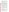While it may be beyond the scope of the outreach and education proposals under this solicitation to directly measure the impact of their actions on the long-term environmental health goal or condition, each proposal should describe its relationship to the environmental health outcome that can be expected to occur as a result of the project's efforts. Examples of these relationships specific to indoor air pollutants, are illustrated in Tables 1-1 through 1-3. This information is provided to applicants to assist them in preparing their proposal.

Additionally, all project activities proposed for funding under this RFA must clearly fall within EPA's statutory authorities. With respect to asthma, only those activities that directly address environmental factors that may influence asthma onset or exacerbation are eligible for funding under this RFA. Applicants are encouraged to integrate environmental trigger avoidance into comprehensive asthma management programs, as recommended by the National Asthma Education Prevention Program (NAEPP) http://www.nhlbi.nih.gov/about/naepp/. While it is appropriate to place environmental trigger avoidance into the broader context of medical management in EPA-funded activities, where non-environmental asthma management (e.g., medical management) activities are proposed which are not purely intended to frame this context, applicants should be prepared to document alternative funding sources for such activities.

With respect to ETS, only those activities that directly address the health risks of ETS, reducing children's exposure to ETS and promoting smoke-free home messages are eligible for funding under this RFA. Activities primarily intended to discourage nonsmokers (e.g., teens) from starting to smoke, or which are intended to encourage or assist smokers in quitting (cessation), fall outside of EPA's authorities to conduct research and disseminate information on indoor air pollutants and are therefore ineligible for funding through this Request for Applications.

With respect to schools, activities must also fall within EPA's authority to conduct demonstration, training, outreach and/or education activities which disseminate information on the causes, extent, prevention and control of indoor air pollution in school environments. Project proposals may not go beyond these authorized activities and applicants are cautioned against proposing "programs" or "program implementation" projects. All proposed activities must be consistent with the information and guidance in EPA's Indoor Air Quality Tools for Schools kit.

#### **C. EPA's Strategic Plan and Anticipated Programmatic and Environmental Results**

#### **1. Linkage to EPA Strategic Plan**

This Request for Applications supports EPA's strategic objective to increase the number of people breathing healthier indoor air. The competitive opportunity also supports the Agency's annual measures and long-term measures as detailed below. These goals build on the Agency's Strategic Plan; Goal 1: Clean Air and Global Climate Change; Objective 1.2 Healthier Indoor Air; Sub-objective 1.1.1 – More People Breathing Cleaner Air located at http://www.epa.gov/ocfo/plan/2003sp.pdf .

To accomplish the goals of the Agency's Strategic Plan, EPA's, Office of Radiation and Indoor Air, Indoor Environments Program has developed indoor air quality priority area objectives which are identified below. Applicants must identify project objectives and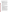goals that are aligned with the following indoor air quality priority areas. As discussed further in Sections C.2-3, proposed projects must quantify environmental outputs for identified activities and achieve measurable environmental outcomes that demonstrate progress towards achieving project objectives and goals within these priority areas.

### **Indoor Air Pollutant Priority Area Objectives**

- **Radon** To prevent future cancer deaths through the mitigation of existing homes and buildings and the construction of new radon resistant homes and buildings.
- **Indoor asthma triggers** To increase the number of people with asthma taking actions to reduce their exposure to environmental triggers. As part of this goal, EPA has identified children and low income individuals as disproportionately impacted and therefore has placed particular emphasis on reaching these populations, as well as training the healthcare workforce on asthma trigger management.
- **ETS** To reduce the exposure of children 6 years of age and under to environmental tobacco smoke, predominantly in homes, child care facilities, and cars. Independent research has shown that children in low-income and loweducation households are most adversely affected by exposure to this pollutant. EPA will continue to make a concerted effort to reach families of children within this population.
- **Air Toxics** To reduce multi-media and cumulative air toxics risks through national, regional, and community-based programs.

# **Building Type Priority Area Objectives**

- **Schools-** To increase the number of primary and secondary schools with effective indoor air quality management practices and plans based on, or consistent with, *IAQ Tools for Schools*. Effective plans comprise a set of actions shown to have a significant effect on improving indoor air quality and reducing associated adverse environmental health impacts such as asthma attacks. Priorities include urban and rural (including tribal) schools which may have significant indoor air quality and infrastructure problems and substantial resource challenges. Improving IAQ in these schools will likely have a relatively greater impact on air quality, and therefore on health effects of students and staff.
- **Public and Commercial Buildings-** To improve building occupant health and productivity and decrease stressors by increasing the number of public and commercial buildings actively employing IAQ best practices equivalent to EPA guidance. Examples of this guidance currently include the Indoor Air Quality Building Education and Assessment Model (I-BEAM) and the document "Mold Remediation in Schools and Commercial Buildings".
- **Homes-** To improve occupant health and reduce stressors in residential buildings by reducing exposure to indoor pollutants, both by following strategies consistent with EPA's indoor air pollutant priority area objectives mentioned above, and by increasing the number of homes actively designed and constructed with the use of IAQ best practices equivalent to EPA guidance. Examples of this guidance currently include the Radon Resistant New Construction Guidance and the draft specifications for the ENERGY STAR for Homes Indoor Air Package.

For three of the program priority areas quantitative annual and long-term goals have been established: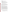#### **Annual Measures:**

- $\triangleright$  Radon mitigations and radon resistant new construction
- $\triangleright$  Health care professionals trained on environmental asthma triggers
- $\triangleright$  Schools adopting effective IAQ management plans

#### **Long –Term Measures:**

- $\triangleright$  By 2012, 3.9 million homes in the United States will equipped with radon reducing features – through mitigations of existing homes and radon resistant new construction – this will translate into 1,250 future cancer deaths prevented annually.
- $\triangleright$  By 2012, 6.5 million people with asthma will be taking essential actions to reduce their exposure to environmental triggers.
- $\triangleright$  By 2012, 1,000 new schools a year will be establishing effective IAQ management plans, for a total of 40,000 schools nationwide.

### **2. Outputs**

As described below in Tables 1-1 through 1-3, applicants are responsible for quantifying environmental health related outputs for proposed demonstration, training, education and/or outreach project activities. These outputs must describe the level of activity that will be provided over a period of time (e.g., number of publications produced or number of people trained) and should demonstrate progress from a stated baseline<sup>1</sup> towards achieving substantial measurable environmental outcomes.

#### **3. Outcomes**

 $\overline{a}$ 

As described below in Tables 1-1 through 1-3, applicants are responsible for achieving substantial measurable environmental outcomes that demonstrate progress towards achieving project goals, objectives, and long-term environmental health benefits. Environmental outcomes must describe the intended result of carrying out a program or activity and may be classified as intermediate action outcomes and long-term environmental health outcomes. Intermediate action outcomes describe behavior changes achieved (e.g. increase in radon testing, additional patients taking action to reduce asthma triggers) beyond the current stated baseline<sup>1</sup>. Applicants must estimate the intermediate action outcomes they will achieve and describe how they will quantify them.

Intermediate action outcomes ultimately lead to long term environmental health outcomes of the project. Health benefits can not always be quantified by partners, but are desirable when possible, (e.g. lung cancer deaths avoided, decrease in asthma emergency room visits, decrease in lost school/work days due to indoor air quality problems, etc.). While applicants may not be able to quantify the link between intermediate action outcomes and long-term environmental health outcomes, they should be able to qualitatively describe this link.

 $\bullet$ <sup>1</sup> baseline- the starting point from which progress is measured and targets are set. The baseline proposed should incorporate the most recent information available prior to the start of the project. Baselines can be based on organizational experience, estimates from past performance, national data, or expert opinion. Examples of baselines and corresponding targets are listed in Section IV, Stage 2 *Elements of the Concept Proposal* under F*:*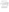Table 1-1 provides definitions and demonstrates the relationship between project activities, environmental outputs, and intermediate environmental action outcomes that may ultimately reduce exposure to indoor air pollutants and improve long-term environmental health outcomes.

|                                                                                                                                      |                                                                                                                                                                                                                                                                                               | <b>Anticipated Environmental Outcomes</b>                                                                                                                                                                                                                                                                   |                                                                                                                                                                                                                                                                                                                                                               |
|--------------------------------------------------------------------------------------------------------------------------------------|-----------------------------------------------------------------------------------------------------------------------------------------------------------------------------------------------------------------------------------------------------------------------------------------------|-------------------------------------------------------------------------------------------------------------------------------------------------------------------------------------------------------------------------------------------------------------------------------------------------------------|---------------------------------------------------------------------------------------------------------------------------------------------------------------------------------------------------------------------------------------------------------------------------------------------------------------------------------------------------------------|
|                                                                                                                                      |                                                                                                                                                                                                                                                                                               |                                                                                                                                                                                                                                                                                                             |                                                                                                                                                                                                                                                                                                                                                               |
| <b>Activities</b>                                                                                                                    | Programmatic/<br>Environmentally<br><b>Related Outputs</b>                                                                                                                                                                                                                                    | <b>Intermediate Action Outcomes</b>                                                                                                                                                                                                                                                                         | Long-term (End)<br><b>Environmental Health</b><br><b>Outcomes</b>                                                                                                                                                                                                                                                                                             |
| Description of services your<br>project will provide (e.g.,<br>conduct training, organize<br>conference, develop a<br>demonstration) | These outputs describe<br>the level of activity that<br>will be provided over a<br>period of time, including<br>a description of the<br>characteristics (e.g.,<br>timeliness) established as<br>standards for the activity<br>(e.g., number of<br>publications produced or<br>people trained) | Intermediate action outcomes<br>describe the intended result of<br>carrying out a program or activity.<br>Shorter term action environmental<br>outcomes might describe behavior<br>changes achieved (e.g., increase in<br>radon testing, additional patients<br>taking action to reduce asthma<br>triggers) | Long-term environmental<br>health outcomes are the<br>ultimate health benefit of the<br>project. Environmental<br>health outcomes can not<br>always be quantified by<br>partners, but are desirable<br>when possible (e.g., lung<br>cancer deaths avoided,<br>decrease in asthma E.R.<br>visits, decrease in lost<br>school/work days due to IAQ<br>problems) |

**Table 1-1 – Definitions** 

Tables 1-2 and 1-3 demonstrate the relationship between project activities, environmental health outputs, and intermediate environmental health outcomes that may ultimately reduce exposure to indoor air pollutants and improve long-term environmental health outcomes. The activities and environmental outputs, listed in this table are **examples only** and are **not** intended to limit the submission of creative and innovative approaches for achieving environmental health results**. Linkage to at least one of the long-term environmental health outcomes listed in tables 1-2 and 1-3 must be addressed by project activities.** Additional environmental outcomes are acceptable.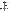# **Table 1-2 INDOOR AIR POLLUTANTS**

|                                                                                                                                                                                                                                                                                                                                              |                                                                                                                                                                                                                                                                                                                                                                                                                | <b>Example Anticipated Environmental Outcomes</b>                                                                                                                                                                                                                                                                                                                                                                |                                                                                                                                                                                                                                                                                                                                                                          |
|----------------------------------------------------------------------------------------------------------------------------------------------------------------------------------------------------------------------------------------------------------------------------------------------------------------------------------------------|----------------------------------------------------------------------------------------------------------------------------------------------------------------------------------------------------------------------------------------------------------------------------------------------------------------------------------------------------------------------------------------------------------------|------------------------------------------------------------------------------------------------------------------------------------------------------------------------------------------------------------------------------------------------------------------------------------------------------------------------------------------------------------------------------------------------------------------|--------------------------------------------------------------------------------------------------------------------------------------------------------------------------------------------------------------------------------------------------------------------------------------------------------------------------------------------------------------------------|
|                                                                                                                                                                                                                                                                                                                                              |                                                                                                                                                                                                                                                                                                                                                                                                                |                                                                                                                                                                                                                                                                                                                                                                                                                  |                                                                                                                                                                                                                                                                                                                                                                          |
| <b>Example Activities</b>                                                                                                                                                                                                                                                                                                                    | Example Programmatic/<br><b>Environmentally Related</b><br>Outputs                                                                                                                                                                                                                                                                                                                                             | <b>Intermediate Action</b><br><b>Outcomes</b>                                                                                                                                                                                                                                                                                                                                                                    | Long-term (End)<br><b>Environmental Health</b><br><b>Outcomes</b>                                                                                                                                                                                                                                                                                                        |
| <b>RADON</b>                                                                                                                                                                                                                                                                                                                                 |                                                                                                                                                                                                                                                                                                                                                                                                                |                                                                                                                                                                                                                                                                                                                                                                                                                  |                                                                                                                                                                                                                                                                                                                                                                          |
| Train builders on radon<br>resistant new construction<br>techniques                                                                                                                                                                                                                                                                          | Number of trainings and<br>builders trained                                                                                                                                                                                                                                                                                                                                                                    | Number of houses and<br>schools built with radon<br>resistant new construction                                                                                                                                                                                                                                                                                                                                   | Reduction in lung cancer due<br>to radon resistant new<br>construction                                                                                                                                                                                                                                                                                                   |
| Partner with industry and<br>community to increase radon<br>testing and mitigation                                                                                                                                                                                                                                                           | Number of people educated<br>on the environmental health<br>risks of radon and actions<br>that they can take to reduce<br>the risk                                                                                                                                                                                                                                                                             | Number of additional radon<br>tests performed and resulting<br>mitigations                                                                                                                                                                                                                                                                                                                                       | Reduction in lung cancer due<br>to increased radon mitigations                                                                                                                                                                                                                                                                                                           |
| Educate state, local, and tribal<br>officials on environmental<br>health risks of radon and ways<br>to reduce risks                                                                                                                                                                                                                          | Number of officials<br>educated                                                                                                                                                                                                                                                                                                                                                                                | Number of state and<br>$\bullet$<br>local laws, ordinances,<br>regulations and/or<br>policies promoting radon<br>information disclosure,<br>testing, and/or mitigation<br><b>Estimated resulting</b><br>$\bullet$<br>mitigations<br>Number of tribal<br>members or<br>communities testing<br>their home(s) for radon<br>and mitigating high<br>levels                                                            | Reduction in lung cancer due<br>to increased radon mitigations                                                                                                                                                                                                                                                                                                           |
| <b>ASTHMA</b>                                                                                                                                                                                                                                                                                                                                |                                                                                                                                                                                                                                                                                                                                                                                                                |                                                                                                                                                                                                                                                                                                                                                                                                                  |                                                                                                                                                                                                                                                                                                                                                                          |
| Identify, develop and<br>disseminate new or existing<br>education and outreach<br>products and services (e.g.<br>training) targeted toward<br>asthma patients and caregivers<br>that will encourage individuals<br>to take action to reduce<br>exposure to indoor<br>environmental asthma triggers<br>in homes, schools and/or<br>workplaces | Number of products and<br>$\bullet$<br>services developed<br>and/or or disseminated<br>Number of children and<br>$\bullet$<br>low-income adults<br>educated about indoor<br>environmental asthma<br>triggers and mitigation<br>solutions<br>Number of child care<br>$\bullet$<br>providers and/or school<br>personnel educated<br>about indoor<br>environmental asthma<br>triggers and mitigation<br>solutions | Number of people<br>demonstrating increased<br>knowledge of indoor<br>environmental asthma<br>triggers and mitigation<br>solutions<br>Number of people with<br>$\bullet$<br>asthma reducing their<br>exposure to their<br>environmental asthma<br>triggers in their homes,<br>schools and/or<br>workplaces<br>Number of schools<br>$\bullet$<br>and/or childcare<br>providers reducing<br>environmental triggers | Reduction in number of<br>$\bullet$<br>emergency room visits<br>Reduction in other<br>$\bullet$<br>indicators of asthma<br>morbidity such as number<br>of inpatient hospital<br>admissions, sick visits to<br>primary care physicians<br>for asthma, school days<br>missed, symptom days,<br>rescue medication used,<br>and improvement in<br>quality of life indicators |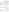|                                                                                                                                                                                                                                                                                                                                                                                                                                                                           |                                                                                                                                                                                                                                 | <b>Example Anticipated Environmental Outcomes</b>                                                                                                                                                                                                                                                                                                                                                                                                                                                                                                                       |                                                                                                                                                                                                                                                                                                                                                                             |
|---------------------------------------------------------------------------------------------------------------------------------------------------------------------------------------------------------------------------------------------------------------------------------------------------------------------------------------------------------------------------------------------------------------------------------------------------------------------------|---------------------------------------------------------------------------------------------------------------------------------------------------------------------------------------------------------------------------------|-------------------------------------------------------------------------------------------------------------------------------------------------------------------------------------------------------------------------------------------------------------------------------------------------------------------------------------------------------------------------------------------------------------------------------------------------------------------------------------------------------------------------------------------------------------------------|-----------------------------------------------------------------------------------------------------------------------------------------------------------------------------------------------------------------------------------------------------------------------------------------------------------------------------------------------------------------------------|
|                                                                                                                                                                                                                                                                                                                                                                                                                                                                           |                                                                                                                                                                                                                                 |                                                                                                                                                                                                                                                                                                                                                                                                                                                                                                                                                                         |                                                                                                                                                                                                                                                                                                                                                                             |
| <b>Example Activities</b>                                                                                                                                                                                                                                                                                                                                                                                                                                                 | Example Programmatic/<br><b>Environmentally Related</b>                                                                                                                                                                         | <b>Intermediate Action</b>                                                                                                                                                                                                                                                                                                                                                                                                                                                                                                                                              | Long-term (End)<br><b>Environmental Health</b>                                                                                                                                                                                                                                                                                                                              |
|                                                                                                                                                                                                                                                                                                                                                                                                                                                                           | Outputs                                                                                                                                                                                                                         | Outcomes                                                                                                                                                                                                                                                                                                                                                                                                                                                                                                                                                                | Outcomes                                                                                                                                                                                                                                                                                                                                                                    |
|                                                                                                                                                                                                                                                                                                                                                                                                                                                                           |                                                                                                                                                                                                                                 | of asthma in their<br>facilities                                                                                                                                                                                                                                                                                                                                                                                                                                                                                                                                        |                                                                                                                                                                                                                                                                                                                                                                             |
| Identify, develop and<br>disseminate new or existing<br>education and outreach<br>products and services (e.g.,<br>training, economic<br>information, trigger reduction<br>recommendations) targeted<br>toward healthcare community<br>(e.g., doctors, respiratory<br>therapists, school nurses, case<br>managers, lay health educators,<br>and private and public health<br>plans) that will support<br>incorporation of environmental<br>controls into standards of care | Number of products and<br>$\bullet$<br>services developed<br>and/or disseminated<br>Number of healthcare<br>$\bullet$<br>professionals educated<br>about indoor<br>environmental asthma<br>triggers and mitigation<br>solutions | Number of healthcare<br>$\bullet$<br>professionals<br>demonstrating increased<br>knowledge of indoor<br>environmental asthma<br>triggers and mitigation<br>solutions<br>Number of healthcare<br>$\bullet$<br>providers delivering<br>comprehensive asthma<br>education and care to<br>patients<br>Number of health plans<br>$\bullet$<br>incorporating<br>environmental asthma<br>trigger management<br>Estimated number of<br>$\bullet$<br>asthma patients reducing<br>exposure to<br>environmental asthma<br>triggers in their homes,<br>schools and/or<br>workplaces | Reduction in number of<br>$\bullet$<br>emergency room visits<br>Reduction in other<br>$\bullet$<br>indicators of asthma<br>morbidity such as number<br>of inpatient hospital<br>admissions, sick visits to<br>primary care physicians<br>for asthma, school days<br>missed, symptom days,<br>rescue medication used,<br>and improvement in<br>quality of life indicators    |
| Identify, develop and<br>disseminate new or existing<br>methods for communities to<br>facilitate comprehensive<br>asthma management                                                                                                                                                                                                                                                                                                                                       | Number of people educated<br>about community<br>approaches for facilitating<br>comprehensive asthma<br>management                                                                                                               | Number of community<br>$\bullet$<br>policies or guidance<br>supporting<br>comprehensive asthma<br>management<br>Estimated number of<br>$\bullet$<br>people with asthma with<br>reduced exposure to<br>environmental asthma<br>triggers in their homes,<br>schools and/or workplaces                                                                                                                                                                                                                                                                                     | Reduction in number of<br>$\bullet$<br>emergency room visits<br>Reduction in other<br>$\bullet$<br>indicators of asthma<br>morbidity such as<br>number of inpatient<br>hospital admissions, sick<br>visits to primary care<br>physicians for asthma,<br>school days missed,<br>symptom days, rescue<br>medication used, and<br>improvement in quality<br>of life indicators |
| <b>ENVIRONMENTAL TOBACCO SMOKE (ETS)</b>                                                                                                                                                                                                                                                                                                                                                                                                                                  |                                                                                                                                                                                                                                 |                                                                                                                                                                                                                                                                                                                                                                                                                                                                                                                                                                         |                                                                                                                                                                                                                                                                                                                                                                             |
| Identify and implement<br>changes through various levels<br>in health care systems to<br>educate parent(s) and<br>caregivers about the dangers of<br>ETS exposure to children                                                                                                                                                                                                                                                                                             | Number of health care<br>$\bullet$<br>systems educating<br>parent(s) and caregivers<br>about the dangers of<br>ETS exposure to<br>children                                                                                      | Number of parent(s)<br>$\bullet$<br>and/or caregivers with<br>increased knowledge<br>about the dangers of<br>ETS exposure to<br>children                                                                                                                                                                                                                                                                                                                                                                                                                                | Reduction in the number<br>$\bullet$<br>of medical office visits<br>due to inner ear<br>infection, bronchitis,<br>asthma, and pneumonia<br>induced from children's                                                                                                                                                                                                          |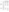|                                                                                                                                                                                                                                                          |                                                                                                                                                                                                                                                                                                                                                                                                                                                                                                                     | <b>Example Anticipated Environmental Outcomes</b>                                                                                                                                                                                                                                  |                                                                                                                                                                                                                                                                                                                     |
|----------------------------------------------------------------------------------------------------------------------------------------------------------------------------------------------------------------------------------------------------------|---------------------------------------------------------------------------------------------------------------------------------------------------------------------------------------------------------------------------------------------------------------------------------------------------------------------------------------------------------------------------------------------------------------------------------------------------------------------------------------------------------------------|------------------------------------------------------------------------------------------------------------------------------------------------------------------------------------------------------------------------------------------------------------------------------------|---------------------------------------------------------------------------------------------------------------------------------------------------------------------------------------------------------------------------------------------------------------------------------------------------------------------|
| <b>Example Activities</b>                                                                                                                                                                                                                                | Example Programmatic/<br><b>Environmentally Related</b><br>Outputs<br>Number parent(s)<br>$\bullet$<br>educated through health<br>care systems about the<br>dangers of ETS<br>exposure to children                                                                                                                                                                                                                                                                                                                  | <b>Intermediate Action</b><br>Outcomes<br>Number of people<br>$\bullet$<br>committed not to smoke<br>around children<br>Reduction in children's<br>$\bullet$<br>exposure to ETS                                                                                                    | Long-term (End)<br><b>Environmental Health</b><br>Outcomes<br>exposure to ETS<br>Reduction in number of<br>$\bullet$<br>episodes of inner ear<br>infection, bronchitis,<br>asthma, cases of<br>pneumonia                                                                                                            |
| Identify and implement<br>systems changes in child-<br>focused organizations and<br>buildings (i.e., schools and<br>child-care facilities) that<br>include education for parent(s)<br>and caregivers about the<br>dangers of ETS exposure to<br>children | Number of child-<br>$\bullet$<br>focused organizations<br>committed to create,<br>maintain and sustain<br>smoke-free<br>environments for<br>children<br>Number of<br>$\bullet$<br>professionals in child-<br>focused buildings<br>and/or facilities,<br>especially schools and<br>child-care facilities<br>promoting, partnering<br>and collaborating with<br>social services<br>organizations and<br>culturally-diverse<br>community-based<br>organizations to educate<br>low-education/low-<br>income communities | Number of parent(s) and<br>$\bullet$<br>caregivers with<br>increased knowledge<br>about the dangers of<br>ETS exposure to<br>children<br>Number of people<br>$\bullet$<br>committed not to smoke<br>around the children<br>Reduction in children's<br>$\bullet$<br>exposure to ETS | Reduction in the<br>$\bullet$<br>number of medical<br>office visits due to<br>inner ear infection,<br>bronchitis, asthma, and<br>pneumonia induced<br>from children's<br>exposure to ETS<br>Reduction in number<br>$\bullet$<br>of episodes of inner<br>ear infection,<br>bronchitis, asthma,<br>cases of pneumonia |
| Disseminate, promote and<br>conduct outreach and education<br>through various culturally-<br>diverse community-based<br>groups about the dangers of<br>ETS exposure to children                                                                          | Number of culturally-<br>$\bullet$<br>diverse community-<br>based organizations<br>educating low-<br>education/low-income<br>populations<br>Number of communities<br>$\bullet$<br>committed to create,<br>maintain and sustain<br>smoke-free<br>environments for<br>children;                                                                                                                                                                                                                                       | Number of culturally<br>$\bullet$<br>diverse communities<br>with increased<br>knowledge about the<br>dangers of ETS exposure<br>to children<br>Number of people<br>$\bullet$<br>committed not to smoke<br>around the children                                                      | Reduction in the<br>$\bullet$<br>number of medical<br>office visits due to<br>inner ear infection,<br>bronchitis, asthma,<br>and pneumonia<br>induced from<br>children's exposure<br>to ETS<br>Reduction in number<br>of episodes of inner<br>ear infection,<br>bronchitis, asthma,<br>cases of pneumonia           |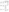|                                                                                                                                                                                                             |                                                                                                                                                                                                                       |                                                                                                                                                                                                                                                                                                                                                                                                                                                                                                               | <b>Example Anticipated Environmental Outcomes</b>                                                                                                                                                                                                                                               |
|-------------------------------------------------------------------------------------------------------------------------------------------------------------------------------------------------------------|-----------------------------------------------------------------------------------------------------------------------------------------------------------------------------------------------------------------------|---------------------------------------------------------------------------------------------------------------------------------------------------------------------------------------------------------------------------------------------------------------------------------------------------------------------------------------------------------------------------------------------------------------------------------------------------------------------------------------------------------------|-------------------------------------------------------------------------------------------------------------------------------------------------------------------------------------------------------------------------------------------------------------------------------------------------|
|                                                                                                                                                                                                             |                                                                                                                                                                                                                       |                                                                                                                                                                                                                                                                                                                                                                                                                                                                                                               |                                                                                                                                                                                                                                                                                                 |
| <b>Example Activities</b>                                                                                                                                                                                   | Example Programmatic/<br><b>Environmentally Related</b><br>Outputs                                                                                                                                                    | <b>Intermediate Action</b><br>Outcomes                                                                                                                                                                                                                                                                                                                                                                                                                                                                        | Long-term (End)<br><b>Environmental Health</b><br>Outcomes                                                                                                                                                                                                                                      |
| Institutionalize messages and<br>standards of practice/service in<br>federal, state and local<br>programs/system to educate<br>parent(s) and caregivers about<br>the dangers of ETS exposure to<br>children | Number of<br>$\bullet$<br>programs/systems that<br>institutionalized<br>messages and<br>education of the<br>dangers of ETS<br>exposure to children                                                                    | Number of people in the<br>$\bullet$<br>programs/systems<br>receiving messages<br>and/or educations about<br>ETS and children                                                                                                                                                                                                                                                                                                                                                                                 | Reduction in the<br>$\bullet$<br>number of medical<br>office visits due to<br>ear infections and<br>asthma episodes<br>induced from<br>children's exposure<br>to ETS<br>Reduction in number<br>$\bullet$<br>of episodes of inner<br>ear infection,<br>bronchitis, asthma,<br>cases of pneumonia |
| Develop and disseminate<br>educational videos,<br>publications, and or other tools<br>to medical and healthcare<br>professionals that provide<br>instruction on how to reduce<br>children's exposure to ETS | Number of outreach<br>$\bullet$<br>products and services<br>developed and<br>disseminated that<br>provide instruction on<br>how to reduce<br>children's exposure to<br>ETS to medical and<br>healthcare professionals | Number of medical and<br>$\bullet$<br>healthcare professionals<br>with increased<br>knowledge about the<br>dangers of ETS exposure<br>to children<br>Number of health plan<br>providers that have<br>strengthened provisions<br>in their plans or<br>guidance related to<br>reducing children's<br>exposure to ETS<br>Number families reached<br>through collaboration<br>with healthcare delivery<br>systems, healthcare<br>professionals, and/or<br>educators<br>Reduction in children's<br>exposure to ETS | • Reduction in number of<br>episodes of inner ear<br>infection, bronchitis,<br>asthma, cases of<br>pneumonia                                                                                                                                                                                    |
| <b>Air Toxics</b><br>Design a community-based                                                                                                                                                               | Number of community<br>$\bullet$                                                                                                                                                                                      | Reduction in exposure to<br>$\bullet$                                                                                                                                                                                                                                                                                                                                                                                                                                                                         | • Reduction in lung cancer                                                                                                                                                                                                                                                                      |
| toxics reduction program that<br>addresses indoor air quality<br>(but also may include outdoor<br>air components)                                                                                           | based air toxics<br>reduction programs that<br>address IAQ                                                                                                                                                            | air toxics<br>Number of lbs/tons of<br>$\bullet$<br>toxics reduced in the<br>community through<br>radon reduction, good<br>IAQ practices in schools<br>(such as TfS), and ETS<br>projects in coordination<br>with outdoor stationary                                                                                                                                                                                                                                                                          | due to increased radon<br>mitigations<br>• Reduction in number of<br>episodes of inner ear<br>infection, bronchitis,<br>asthma, cases of<br>pneumonia                                                                                                                                           |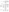|                           |                                | <b>Example Anticipated Environmental Outcomes</b> |                             |
|---------------------------|--------------------------------|---------------------------------------------------|-----------------------------|
|                           |                                |                                                   |                             |
| <b>Example Activities</b> | Example Programmatic/          |                                                   | Long-term (End)             |
|                           | <b>Environmentally Related</b> | <b>Intermediate Action</b>                        | <b>Environmental Health</b> |
|                           | Outputs                        | <b>Outcomes</b>                                   | <b>Outcomes</b>             |
|                           |                                | and mobile source risk                            |                             |
|                           |                                | reduction projects                                |                             |
|                           |                                | Number of tribal homes<br>$\bullet$               |                             |
|                           |                                | adopting IAQ                                      |                             |
|                           |                                | management methods to                             |                             |
|                           |                                | reduce indoor air toxics                          |                             |

# **Table 1-3 TYPES OF BUILDINGS**

| I I I LO UF DUILDINGO                                                                                                                                                                                                          |                                                                                                                                                                                                                                                                                                              | <b>Example Anticipated Environmental Outcomes</b>                                                                                                                                                                                                                                                                                                                                                                                                                                                                                                                     |                                                                                                                                                                                                                                                                                             |
|--------------------------------------------------------------------------------------------------------------------------------------------------------------------------------------------------------------------------------|--------------------------------------------------------------------------------------------------------------------------------------------------------------------------------------------------------------------------------------------------------------------------------------------------------------|-----------------------------------------------------------------------------------------------------------------------------------------------------------------------------------------------------------------------------------------------------------------------------------------------------------------------------------------------------------------------------------------------------------------------------------------------------------------------------------------------------------------------------------------------------------------------|---------------------------------------------------------------------------------------------------------------------------------------------------------------------------------------------------------------------------------------------------------------------------------------------|
|                                                                                                                                                                                                                                |                                                                                                                                                                                                                                                                                                              |                                                                                                                                                                                                                                                                                                                                                                                                                                                                                                                                                                       |                                                                                                                                                                                                                                                                                             |
| <b>Example Activities</b><br><b>SCHOOL</b>                                                                                                                                                                                     | Example Programmatic/<br><b>Environmentally Related</b><br>Outputs                                                                                                                                                                                                                                           | <b>Intermediate Action</b><br><b>Outcomes</b>                                                                                                                                                                                                                                                                                                                                                                                                                                                                                                                         | Long-term (End)<br><b>Environmental Health</b><br><b>Outcomes</b>                                                                                                                                                                                                                           |
| Identify, develop and<br>disseminate new or existing<br>education and outreach<br>products and services (e.g.,<br>training, curriculum<br>development) targeted toward<br>school district personnel and/or<br>school advocates | Number of products<br>$\bullet$<br>and services developed<br>and/or disseminated<br>Number of school<br>$\bullet$<br>district personnel<br>and/or school advocates<br>educated about good<br>indoor air quality(IAQ)<br>management practices<br>in schools consistent<br>with IAQ Tools for<br>Schools (TfS) | Number of school district<br>$\bullet$<br>personnel and/or school<br>advocates demonstrating<br>increased knowledge<br>about good indoor air<br>quality management<br>practices in schools<br>consistent with IAQ TfS<br>Number of schools<br>$\bullet$<br>implementing good<br>indoor air quality<br>management practices<br>consistent with IAQ TfS<br>Reduction in exposure to<br>$\bullet$<br>indoor air pollutants in<br>schools of staff and<br>students<br>Number of district and/or<br>$\bullet$<br>statewide IAQ policies<br>developed and/or<br>implemented | Reduction in staff and<br>$\bullet$<br>student absenteeism<br>Reduction in number of<br>$\bullet$<br>asthma attacks, allergic<br>reactions, and other IAQ<br>related symptoms<br>Increase in occupant<br>$\bullet$<br>performance and<br>productivity attributable<br>to IAQ best practices |
| Conduct education and outreach<br>activities in support of EPA's<br>national IAQ TfS Symposium                                                                                                                                 | Number of<br>$\bullet$<br>attendees recruited<br>to IAQ TfS<br>Symposium<br>Number of follow-<br>ups to support good<br>IAQ management<br>practices with                                                                                                                                                     | Number of schools<br>$\bullet$<br>implementing good<br>indoor air quality<br>management practices<br>consistent with $IAQ$<br>Tools for Schools<br>Reduction in student and<br>staff exposure to indoor                                                                                                                                                                                                                                                                                                                                                               | Reduction in staff and<br>$\bullet$<br>student absenteeism<br>Reduction in asthma<br>$\bullet$<br>attacks, allergies, and<br>other IAQ related<br>symptoms<br>Increase in occupant<br>performance and                                                                                       |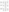|                                                                                                                                                                                                                                                                                                     | sponsored attendees                                                                                                                                                                                                                                                                                                              | air pollutants                                                                                                                                                                                                                                                                                                                                                                                                                               | productivity attributable<br>to IAQ best practices                                                                                                                                                                                                                                                                                            |
|-----------------------------------------------------------------------------------------------------------------------------------------------------------------------------------------------------------------------------------------------------------------------------------------------------|----------------------------------------------------------------------------------------------------------------------------------------------------------------------------------------------------------------------------------------------------------------------------------------------------------------------------------|----------------------------------------------------------------------------------------------------------------------------------------------------------------------------------------------------------------------------------------------------------------------------------------------------------------------------------------------------------------------------------------------------------------------------------------------|-----------------------------------------------------------------------------------------------------------------------------------------------------------------------------------------------------------------------------------------------------------------------------------------------------------------------------------------------|
| Identify, develop and<br>disseminate new or existing<br>education and outreach<br>products and services (e.g.<br>training) addressing the specific<br>needs of urban, rural and tribal<br>schools and/or schools whose<br>students are disproportionately<br>affected by poor indoor air<br>quality | Number of products<br>$\bullet$<br>and services developed<br>and/or disseminated<br>Number of school<br>$\bullet$<br>district personnel<br>and/or school advocates<br>educated about good<br>indoor air quality(IAQ)<br>management practices<br>in schools consistent<br>with IAQ TfS                                            | Number of school district<br>$\bullet$<br>personnel and/or school<br>advocates demonstrating<br>increased knowledge<br>about good indoor air<br>quality management<br>practices in schools<br>consistent with IAQ TfS<br>Number of schools<br>$\bullet$<br>implementing good<br>indoor air quality<br>management practices<br>consistent with IAQ TfS<br>Reduction in student and<br>$\bullet$<br>staff exposure to indoor<br>air pollutants | Reduction in staff and<br>$\bullet$<br>student absenteeism<br>Reduction in asthma<br>$\bullet$<br>attacks, allergies, and<br>other IAQ related<br>symptoms<br>Increase in occupant<br>$\bullet$<br>performance and<br>productivity attributable<br>to IAQ best practices                                                                      |
| Develop, promote, and conduct<br>outreach and training for school<br>districts building professionals<br>and others about design and<br>construction practices for<br>schools consistent with IAQ<br>Design Tools for Schools                                                                       | Number of school<br>$\bullet$<br>districts building<br>professionals and others<br>trained about design<br>and construction<br>practices for schools<br>Number of products<br>$\bullet$<br>and services developed<br>and/or disseminated                                                                                         | Number of school<br>$\bullet$<br>districts building<br>professionals and others<br>demonstrating increased<br>knowledge about good<br>indoor air quality<br>management practices in<br>schools<br>Number of schools<br>$\bullet$<br>implementing<br>construction practices<br>consistent with $IAQ$<br>Design Tools for Schools<br>Reduction in exposure to<br>$\bullet$<br>indoor air pollutants in<br>schools of staff and<br>students     | Reduction in staff and<br>$\bullet$<br>student absenteeism<br>Reduction in asthma<br>$\bullet$<br>attacks, allergic reactions,<br>and other IAQ related<br>symptoms<br>Increase in occupant<br>$\bullet$<br>performance and<br>productivity attributable<br>to IAQ best practices                                                             |
| PUBLIC and COMMERCIAL BUILDINGS                                                                                                                                                                                                                                                                     |                                                                                                                                                                                                                                                                                                                                  |                                                                                                                                                                                                                                                                                                                                                                                                                                              |                                                                                                                                                                                                                                                                                                                                               |
| Provide technical assistance,<br>and/or conduct outreach and<br>training to building design,<br>construction, operations and/or<br>maintenance professionals on<br>IAQ best practices and protocols<br>consistent with EPA guidance                                                                 | Number of building<br>$\bullet$<br>professionals trained<br>about design,<br>construction,<br>operation, and/or<br>maintenance IAQ<br>best practices<br>Number of relevant<br>$\bullet$<br>products and services<br>developed and/or<br>disseminated<br>Number of building<br>professionals<br>receiving technical<br>assistance | Number of building<br>$\bullet$<br>professionals and others<br>demonstrating increased<br>knowledge about IAQ<br>best practices<br>Number of buildings that<br>$\bullet$<br>use design, construction,<br>operation and/or<br>maintenance practices<br>that improve IAQ<br>Number and significance<br>$\bullet$<br>of model specifications,<br>contracts and similar<br>vehicles including IEQ<br>best practices                              | Reduction in occupant<br>$\bullet$<br>exposure to indoor air<br>pollutants<br>Reduction in occupant<br>$\bullet$<br>absenteeism, turnover and<br>complaints attributable to<br>IAQ, and reduction in<br>negative health effects<br>Increase in occupant<br>$\bullet$<br>performance and<br>productivity attributable<br>to IAQ best practices |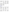| Conduct one or more case studies<br>to demonstrate best practices for<br>IAQ consistent with EPA IAQ<br>guidance in design and<br>construction of a new building<br>and/or operation and maintenance<br>in an existing building and widely<br>disseminate results                                                                                                                                                                                                            | Number of high-<br>$\bullet$<br>quality, useful case<br>study reports<br>distributed<br>Number of<br>$\bullet$<br>publications,<br>websites, and other<br>outlets in which the<br>reports are published,<br>linked to, described<br>and/or publicized.                                | Number of building<br>$\bullet$<br>professionals, building<br>organizations and others<br>demonstrating awareness<br>of the case study results<br>Number of buildings<br>$\bullet$<br>and/or building<br>professionals using the<br>case study results to<br>justify, develop and<br>implement IAQ                                      | Reduction in building<br>$\bullet$<br>occupant exposure to<br>indoor air pollution<br>Reduction in occupant<br>$\bullet$<br>absenteeism, turnover and<br>complaints attributable to<br>IAQ, and reduction in<br>negative health effects<br>Increase in occupant<br>$\bullet$<br>performance and<br>productivity attributable<br>to IAQ best practices |
|------------------------------------------------------------------------------------------------------------------------------------------------------------------------------------------------------------------------------------------------------------------------------------------------------------------------------------------------------------------------------------------------------------------------------------------------------------------------------|---------------------------------------------------------------------------------------------------------------------------------------------------------------------------------------------------------------------------------------------------------------------------------------|-----------------------------------------------------------------------------------------------------------------------------------------------------------------------------------------------------------------------------------------------------------------------------------------------------------------------------------------|-------------------------------------------------------------------------------------------------------------------------------------------------------------------------------------------------------------------------------------------------------------------------------------------------------------------------------------------------------|
| Education, training, and<br>outreach on IAQ which<br>includes substantial content on<br>moisture control, mold<br>prevention, and mold<br>remediation consistent with<br>EPA guidance found in EPA<br>publications such as: Mold<br>Remediation in Schools and<br>Commercial Buildings on<br>www.epa.gov/mold, IAQ<br>Tools for Schools on<br>$\frac{www.epa.gov/iaq}{w}$ , or <i>IAQ</i><br><b>Building Education and</b><br>Assessment Tool (I-BEAM) on<br>www.epa.gov/iaq | Number of public<br>health, environmental<br>health, or other<br>professionals who<br>manage IAQ programs<br>in public/commercial<br>buildings including<br>schools, who are<br>trained or educated<br>about moisture control,<br>mold prevention, and<br>mold remediation            | Number of IAQ programs<br>incorporating substantial<br>content on moisture<br>control, mold prevention,<br>and mold remediation                                                                                                                                                                                                         | Reduction of exposure of<br>the public to mold and<br>other pollutants from damp<br>indoor environments                                                                                                                                                                                                                                               |
| <b>HOMES</b><br>Develop new design, and<br>construction protocols, and/or<br>expand existing protocols, along<br>with a training, demonstration<br>and/or outreach program to<br>disseminate them, in a manner<br>consistent with EPA guidance for<br>improving Indoor Air Quality<br>(IAQ) during home retrofit,<br>remodeling, or improvement<br>projects.                                                                                                                 | Number of high-<br>$\bullet$<br>quality, useful<br>protocols developed<br>and/or expanded<br>Number of copies of<br>$\bullet$<br>protocols<br>disseminated to<br>homebuilding<br>professionals<br>Number of<br>$\bullet$<br>homebuilding<br>professionals trained<br>on IAQ protocols | Number of building<br>$\bullet$<br>professionals and others<br>demonstrating increased<br>knowledge about IAQ<br>best practices<br>Number of home retrofit,<br>$\bullet$<br>remodeling, and/or<br>improvement programs<br>adopting IAQ protocols<br>Number of homes with<br>$\bullet$<br>improved IAQ, based on<br>use of IAQ protocols | Reduction in occupant<br>$\bullet$<br>exposure to indoor air<br>pollutants<br>Reduction in measurable<br>health impacts<br>attributable to IAQ best<br>practices (e.g. reduced<br>emergency room (ER)<br>visits, sick days, etc.)                                                                                                                     |
| Conduct demonstration projects<br>to test feasibility of the Energy<br>Star with Indoor Air Package<br>recommended specifications<br>and/or equivalent guidance,<br>especially in underserved and/or<br>high risk sectors (e.g.<br>communities with high incidence<br>of respiratory disease)                                                                                                                                                                                | Number of high<br>$\bullet$<br>quality, useful case<br>study reports,<br>articles, and/or other<br>high visibility public<br>relation coverage<br>Number of<br>$\bullet$<br>publications,                                                                                             | Number of building<br>$\bullet$<br>professionals, building<br>organizations, and/or<br>others demonstrating<br>awareness of the case<br>study results<br>Number of programs<br>$\bullet$<br>and/or building                                                                                                                             | Reduction in occupant<br>$\bullet$<br>exposure to indoor air<br>pollutants, particularly in<br>high risk and/or<br>underserved populations<br>Reduction in measurable<br>$\bullet$<br>health impacts<br>attributable to IAQ best                                                                                                                      |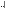|                                                                                                                                                                                                                                                                                                                                                                                                                                                                               | websites, and/or other<br>outlets in which the<br>reports are published,<br>linked to, described<br>and/or publicized.                                                                              | professionals using the<br>case study results to<br>justify, develop, and<br>implement IAQ best<br>practices<br>Number of homes built<br>$\bullet$<br>consistent with EPA<br><b>Indoor Air Package</b><br>recommended<br>specifications.        | practices (e.g. reduced<br>ER visits, sick days, etc.)                                                                  |
|-------------------------------------------------------------------------------------------------------------------------------------------------------------------------------------------------------------------------------------------------------------------------------------------------------------------------------------------------------------------------------------------------------------------------------------------------------------------------------|-----------------------------------------------------------------------------------------------------------------------------------------------------------------------------------------------------|-------------------------------------------------------------------------------------------------------------------------------------------------------------------------------------------------------------------------------------------------|-------------------------------------------------------------------------------------------------------------------------|
| Education, training, and<br>outreach to homeowners,<br>renters, and/or<br>landlords/property managers<br>on reducing indoor mold,<br>moisture control, mold<br>prevention, and mold<br>remediation consistent with<br>EPA guidance found in EPA<br>publications such as: A Brief<br>Guide to Mold, Moisture, and<br>Your Home on<br>www.epa.gov/mold, or Clear<br>Your Home of Asthma<br>Triggers: Your Children Will<br><b>Breathe Easier on</b><br>http://www.epa.gov/iaq/. | Number of<br>$\bullet$<br>homeowners,<br>renters, and/or<br>landlords/property<br>managers educated<br>on reducing indoor<br>mold, moisture<br>control, mold<br>prevention, and<br>mold remediation | Number of<br>$\bullet$<br>homeowners, renters,<br>and/or<br>landlords/property<br>managers<br>starting/expanding<br>IAQ maintenance<br>programs with<br>substantial content on<br>moisture control, mold<br>prevention, and mold<br>remediation | Reduction in exposure<br>$\bullet$<br>of the public to mold<br>and other pollutants<br>from damp indoor<br>environments |
| Collaborate with urban, rural,                                                                                                                                                                                                                                                                                                                                                                                                                                                | Number of<br>$\bullet$                                                                                                                                                                              | Number of families<br>$\bullet$                                                                                                                                                                                                                 | Reduction in<br>$\bullet$                                                                                               |
| or tribal community based                                                                                                                                                                                                                                                                                                                                                                                                                                                     | building health,                                                                                                                                                                                    | taking action to reduce                                                                                                                                                                                                                         | occupant's exposure to                                                                                                  |
| programs to educate families                                                                                                                                                                                                                                                                                                                                                                                                                                                  | local officials                                                                                                                                                                                     | indoor air quality risks                                                                                                                                                                                                                        | indoor pollutants                                                                                                       |
| about indoor air risks and                                                                                                                                                                                                                                                                                                                                                                                                                                                    | trained                                                                                                                                                                                             |                                                                                                                                                                                                                                                 |                                                                                                                         |
| actions to address those risk in                                                                                                                                                                                                                                                                                                                                                                                                                                              | Number of trainees<br>$\bullet$                                                                                                                                                                     |                                                                                                                                                                                                                                                 |                                                                                                                         |
| homes                                                                                                                                                                                                                                                                                                                                                                                                                                                                         | enrolled                                                                                                                                                                                            |                                                                                                                                                                                                                                                 |                                                                                                                         |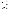#### **D. Supplementary Information**

The statutory authority for this action is Clean Air Act (CAA) §103 which authorizes the award of grants for research, investigations, experiments, demonstrations, surveys, studies, and training related to projects that reduce exposure to indoor air pollutants and yield measurable environmental outcomes/results. For detailed information on the CAA go to http://www.epa.gov/oar/caa/caa103.txt

# **II. AWARD INFORMATION**

# **A. What is the amount of funding available?**

The total estimated funding for this competitive opportunity is approximately \$3-4 million.

# **B. How many agreements will EPA award in this competition?**

EPA anticipates awarding 20-25 cooperative agreement(s) resulting from this announcement totaling between \$3-4 million per year, subject to the availability of funds with project periods up to 3 years or 36 months, and depending on the quality of applications submitted.

Applications evaluated but not selected for funding may be retained for a period of 4 months for possible future award under this announcement, subject to the availability of additional funds. EPA reserves the right to make no awards under this funding opportunity.

Cooperative agreements permit substantial involvement between the EPA Project Officer and the selected applicants in the performance of the work supported. Although EPA will negotiate precise terms and conditions relating to its substantial involvement as part of the award process, the anticipated substantial federal involvement during this agreement may be:

- 1. close monitoring of the successful applicant's performance to verify the results proposed by the applicant;
- 2. collaboration during performance of the scope of work;
- 3. in accordance with 40 CFR  $31.36(g)$ , review of proposed procurements
- 4. approving qualifications of key personnel (EPA will not select employees or contractors employed by the award recipient);
- 5. review, comment, and acceptance of reports prepared under the cooperative agreement (the final decision on the content of reports rests with the recipient); and
- 6. approving proposed changes to work plan and/or budgets

# **C. What is the budget and project period for award(s) resulting from this solicitation?**

The estimated budget and project period for awards resulting from this solicitation is 10/01/06 to 09/30/09. All projects must be completed within the negotiated project performance period of 3 years or 36 months.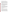#### **D. Can funding be used to acquire services or fund partnerships?**

Funding may be used to acquire services or fund partnerships, provided the recipient follows procurement and subaward or subgrant procedures contained in 40 CFR Parts 30 or 31, as applicable. Selected applicants must complete contracts for services and products and conduct cost and price analysis to the extent required by these regulations. The regulations also contain limitations on consultant compensation. Applicants are not required to identify contractors or consultants in their concept proposal. Moreover, the fact that a selected applicant has named a specific contractor or consultant in the concept proposal EPA approves does not relieve it of its obligations to comply with competitive procurement requirements.

Sub-grants or sub-awards may be used to fund partnerships with universities and nonprofit organizations. Successful applicants cannot use sub-grants or sub-awards to avoid requirements in EPA grant regulations for competitive procurement by using these instruments to acquire commercial services or products to carry out its cooperative agreement. The nature of the transaction between the recipient and the sub-grantee must be consistent with the standards for distinguishing between vendor transactions and subrecipient assistance under Sub-part B Section .210 of OMB Circular A-133, and the definitions of "sub-award" at 40 CFR 30.2(ff) or "sub-grant" at 40 CFR 31.3, as applicable. EPA will not be a party to these transactions.

# **E. Will EPA consider partial funding for projects?**

Yes. EPA reserves the right to partially fund proposals/applications by funding discrete activities, portions, or phases of the proposed project. If EPA decides to partially fund the proposal/application, it will do so in a manner that does not prejudice any applicants or affect the basis upon which the proposal/application, or portion thereof, was evaluated and selected for award, and that maintains the integrity of the competition and the evaluation/selection process. In order to ensure appropriate funding is provided for partially funded projects, EPA requests that applicants provide an approximation of the percentage of the budget designated for each major activity.

# **III. ELIGIBILITY INFORMATION**

# **A. Eligible Entities**

Proposals will be accepted from universities, States, territories, Indian Tribes, and possessions of the U.S., including District of Columbia; international organizations; public and private universities and colleges; hospitals; laboratories; and other public or private nonprofit institutions, which submit applications proposing projects with significant technical merit and relevance to EPA's Office of Air and Radiation's mission.

Nonprofit organization, as defined by OMB Circular A-122, means any corporation, trust, association, cooperative, or other organization which: (1) is operated primarily for scientific, educational, service, charitable, or similar purposes in the public interest; (2) is not organized primarily for profit; and (3) uses its net proceeds to maintain, improve, and/or expand its operations. Note that OMB Circular A-122 specifically excludes the following types of organizations from the definition of "nonprofit organization" because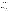they are separately defined in the Circular:(i) colleges and universities; (ii) hospitals; (iii) state, local, and federally-recognized Indian tribal governments; and (iv) those non-profit organizations which are excluded from coverage of this Circular in accordance with paragraph 5 of the Circular. While not considered to be "nonprofit organization(s)" as defined by OMB-Circular A-122, colleges and universities; hospitals; state, local, and federally-recognized Indian tribal governments are, nevertheless, eligible to submit applications under OMB Circular A-122 and this RFA.

Nonprofit organizations described in Section  $501(c)(4)$  of the Internal Revenue Code that engage in lobbying activities as defined in Section 3 of the Lobbying Disclosure Act of 1995 are not eligible to apply.

### **Are matching funds required?**

No. Although cost-sharing or matching is not required, as a condition of eligibility, or otherwise, proposals from applicants proposing a voluntary financial or in-kind commitment or resources may improve their score under Section V. Evaluation Criteria, VI.2. Under this criteria, applicants will be evaluated based on the extent they demonstrate (i) how they will coordinate the use of EPA funding with other Federal and/or non Federal sources of funds to leverage additional resources to carry out the proposed project(s) and/or (ii) that EPA funding will compliment activities relevant to the proposed project(s) carried out by the applicant with other sources of funds or resources.

Applicants may use their own funds or other resources for a voluntary match or cost share if the standards at 40 CFR 30.23 or 40 CFR 31.24, as applicable, are met. Only eligible and allowable costs may be used for matches or cost shares. Other Federal grants may not be used as matches or cost shares without specific statutory authority (e.g. HUD's Community Development Block Grants). In addition, applicants will be evaluated on how the project will be managed if leveraging, in-kind or cost sharing if proposed.

# **IV. APPLICATION AND SUBMISSION PROCESS**

The application process involves:

- **Stage 1:** Participate in optional pre-proposal conference call
- **Stage 2:** Submit Cover Letter, Concept Proposal (attached as a project narrative attachment form in Grants.gov), and SF-424, 424A, and 424B
- **Stage 3:** Invitation to Submit Formal SF-424 Package -- EPA will review concept proposals (attached as a project narrative attachment form in Grants.gov) and invite a select number of applicants to submit a full application package. Applicants chosen to complete this process will receive a formal letter of invitation requesting them to:
- **Stage 4:** Participate in a conference call to discuss the formal submission process, to answer questions about the full application package. Internal award recommendations do not constitute a commitment on the part of EPA to award a cooperative agreement to those invited to submit formal applications.
- **Stage 5:** Submit a Formal SF-424 Application Package including all supporting documentation after those selected for internal award recommendations have been notified.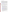#### **Stage 1: Pre-proposal Conference Call**

The pre-proposal conference call will be held **Tuesday, October 25, 2005 from 2:00 PM to 4:00 PM EST.** The purpose of this call is to answer any questions potential applicants may have concerning eligibility, scope of work, budget, formal application for federal assistance awards, project monitoring, etc. Participation is strongly encouraged, but not required. If your organization is interested in participating in the pre-proposal conference call, please e-mail EPA at iaq.rfa@epa.gov by **Wednesday, October 19, 2005**. In your e-mail please provide the organization's contact information including: the name of the organization; a contact person's name; e-mail address; and phone and fax number. The questions and answers from this call will be posted on the OAR website http://www.epa.gov/air/grants\_funding.html.

#### **Stage 2: Cover Letter, Concept Proposal and SF-424, 424A and 424B Submission**

In addition to completing SF-424, 424A and 424B, applicants must complete a **cover letter** (maximum 2 pages) and **concept proposal** (maximum 12 pages, attached as a project narrative attachment form in Grants.gov) as described below. Only the concept proposal will be evaluated using the evaluation criteria set forth in Section V. of this RFA.

This information must be received **no later than Monday, December 12, 2005, 4:00 pm EST to Shelley Blake.** Proposals received after this deadline will not be considered.

### **How to Submit your Stage 2 Package Electronically**:

The electronic submission of your application must be made by an official representative of your institution who is registered with Grants.gov. For more information, go to http://www.grants.gov and click on "Get Started," and then "Authorized Organization Representative (AOR)." *Note that the registration process may take a week or longer* to complete*.* If your organization is not currently registered with Grants.gov, please encourage your office to designate an AOR and ask that individual to begin the registration process as soon as possible.

To begin the application process for this grant program, go to http://www.grants.gov and click on "Apply for Grants." Then click on "Apply Step 1: Download a Grant Application Package and Application Instructions" to download the PureEdge viewer and obtain the application package https://apply.grants.gov/forms\_apps\_idx.html. Please note that the cover letter and concept proposal are attached as part of the project narrative attachment form in Grants.Gov. You may retrieve the application package by entering the Funding Opportunity Number, EPA-OAR-IED-05-21, in the space provided. You may also access the application package by clicking on the button at the bottom right side of the Find synopsis that says **Apply for Grant Electronically**.

**How to Submit your Stage 2 Package via Mail:** 

If you choice to submit your Stage 2 Package via Mail your package must be received **no later than Monday, December 12, 2005, 4:00 pm EST to Shelley Blake.** Mailing address below: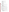#### **Regular Mail Delivery Address (U.S. Postal Service)**

U.S.EPA Attn: Shelley Blake 1200 Pennsylvania Avenue, NW (Mail Code 6609J) Washington, DC 20460 Phone: (202) 343-9819

#### **Express Delivery Address (i.e., FedEx, UPS, DHL, etc.)**

U.S.EPA Attn: Shelley Blake 1310 L Street, NW, Room 413J Washington, DC 20005 Phone: (202) 343-9819

**Elements of the Cover Letter (**will be attached as part of the project narrative attachment form in grants.gov)

The maximum two page cover letter will not be evaluated but must provide all of the following information:

1) Contact information for the organization:

- a) Name of organization
- b) Contact person's name
- c) Mailing address (express mail address if different than mailing address)
- d) E-mail address
- e) Phone and fax numbers
- 2) A statement that your organization has eligibility status (see Section III. A)
- 3) A description of your organization and its mission

4) Identification of the indoor air quality priority area(s) that the concept proposal addresses.

**Elements of the Concept Proposal (**attached as part of the project narrative attachment form in grants.gov)

In addition to the cover letter, SF-424, 424A and B, organizations must submit a maximum **12** page concept proposal, including detailed budget; **any pages exceeding this page limit will not be considered**.

Each page of the cover letter and concept proposal should identify the name of the applicant organization.

The concept proposal should address the elements listed below in the indicated order. These elements will be evaluated according to the point distribution listed in section V.A.

- A. Project Title
- B. Project Goals and Objectives

Discuss how goals and objectives:

- align with EPA's Strategic Plan and indoor air quality priority area goals identified in Section I.C.1 of this RFA
- address one or multiple EPA indoor air program priority objectives and goals where appropriate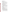- demonstrate innovative approaches
- address disproportionately impacted audiences
- C. Narrative workplan
	- The narrative workplan should:
		- address activities including a detailed description of methods and materials used over the entire project period
		- demonstrate the practicality and feasibility of the project
		- identify intended audience and demonstrate that the project is appropriate for that audience
		- demonstrate that collaborations and partnerships will be developed
		- provide a timeline of these activities, including milestones, as well as projected timeframes of environmental outputs and environmental outcomes for the entire project period as detailed in Tables 1.1 through 1.3, Section I.C of this RFA
		- quality assurance plan if proposed project activities require one
- D. Organizational Experience and Past Performance

The work experience and staff section provide descriptions of:

- past performance in successfully completing projects similar in size, scope, and relevance to the proposed project
- organizational experience and plan for timely and successfully achieving the objectives of the project
- staff expertise/qualifications, staff knowledge, and resources or the ability to obtain them, to successfully achieve the goals of the project**.** In addition to evaluating applicants for programmatic capability purposes, EPA will consider information provided by the applicant in their application/proposal as well as information from other sources including Agency files.
- E. Sustainability and Replication

The sustainability and replication section should provide an explanation of:

- the applicant's ability to sustain their efforts beyond the conclusion of the EPA assistance agreement
- the impacted audience's ability to sustain their efforts beyond the conclusion of the EPA assistance agreement
- the applicant's ability to demonstrate that activities are replicable and can yield large scale impacts
- F. Monitoring and Evaluating Progress and Results

The monitoring and evaluating progress and results section should provide:

- a practical approach to identifying, measuring, and evaluating programmatic outputs and programmatic and/or environmental outcomes
- a baseline the starting point from which progress is measured and targets are set. The baseline proposed should incorporate the most recent information available prior to the start of the project. Baselines can be based on organizational experience, estimates from past performance, national data, or expert opinion. Examples of baselines and corresponding targets:

-As of 2004, 100 homes in the target area had been mitigated for radon, out of an estimated 1,000 with elevated levels. Our proposed outreach activities will increase the homes mitigated to 300.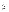-From 2000-2004 the organization educated 2,000 of its 15,000 nurse members on environmental asthma triggers such as ETS. We propose to educate an additional 2,000 nurses during the grant period.

-Based on commitments from district officials in each of the 50 school districts in our target area, none were using an effective IAQ management plan. Our demonstration project will attempt to implement IAQ plans consistent with EPA guidance in 10 of these districts.

• a tracking method to evaluate progress toward achieving goals, objectives, and measurable environmental outputs/environmental outcomes identified in Section I.C.3 of this RFA. No EPA funds may be used to conduct a survey under this funding opportunity.

EPA will work with applicant to determine acceptable tracking activities that adhere to Federal Policies

G. Budget/Detailed Itemized Budget

Provide an appropriate budget for the following categories, specifying unit costs:

- Personnel
- Fringe Benefits
- Contractual Costs
- Travel
- Equipment
- Supplies
- Other
- Total Direct Costs
- Total Indirect Costs: must include documentation of accepted indirect rate
- Total Cost
- Total Project Cost. Specify total cost of the project (EPA funding and cost-share if any). Identify funding from other sources including any inkind or leveraging of resources. Describe your ability to leverage funding for this project including any special measures to maximize cost effectiveness in implementing the project.
- Project period/Budget period. Provide beginning and ending dates (for planning purposes, applicants should assume funds will be available in October 1, 2006 through September 30, 2009).

Budget narrative should include an approximation of the percent of the budget used for each major activity proposed:

#### **For Example**:

Training health care providers on Asthma= 15% of budget allotted Developing tools for health care providers  $= 20\%$  of budget allotted Schools outreach= 30 % of budget allotted

The two-page cover letter, SF-424, 424A and B and **12** page concept proposal (known as a project narrative attachment form in Grants.gov) with the scope of work, budget and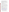#### key personnel must be submitted no later than **Monday, December 12, 2005, 4:00 pm EST to Shelley Blake. No late proposals will be considered.**

Applicants are to avoid submission of extraneous materials. Pages exceeding the maximum length will not be considered. The maximum page length includes any pieces that may be submitted by a third party (e.g., references or letters confirming commitments). All application materials must be completed in English to be considered for award under this solicitation.

Applicants must submit information relating to the programmatic capability criteria to be evaluated under the ranking factor(s) in section V of the announcement. EPA will consider information provided by the applicant and may consider information from other sources including Agency files.

# **Stage 3: Invitation to Submit Full Application Package**

EPA anticipates notifying the applicants selected for award recommendation within 15 days after recommendation decisions are made. At that time selected applicants will be invited to submit a complete full application package and all required supporting documentation.

### **Stage 4: Participate in a Conference Call Detailing the Formal Submission Process**

The intent of the formal application assistance conference call is to answer any questions selected applicants for award recommendation may have about the federal assistance application process. Instructions will be e-mailed on how to participate in the conference call. This call will be scheduled on **Tuesday, February 7, 2006 from 1:00 PM to 3:00 pm EST to Shelley Blake**.

### **Stage 5: Submit a Full Application Package including all Supporting Documentation**

When submitting the formal SF-424 "Request for Federal Assistance" application, it must be consistent with the selected concept proposal. Formal SF-424 applications and all supporting documentation from selected applicants are due on or before **Monday, February 27, 2006 at 4:00 pm EST to Shelley Blake.** 

The complete grants application (Formal SF-424 "Application Kit for Federal Assistance" package) for selected applicant(s) can be downloaded from EPA's Office of Grants and Debarment website at: http://www.epa.gov/ogd/AppKit/application.htm or http://www.epa.gov/ogd/grants/how\_to\_apply.htm. Applicants selected for award recommendation may request a paper copy of the application package by contacting the agency contact person listed in Section VII of this announcement.

# **Full Application Package Instructions and Submission Dates and Time**

# **How to Submit your Full Application Package Electronically**:

The electronic submission of your application should be made by an official representative of your institution who is registered with Grants.gov. For more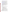information, go to http://www.grants.gov and click on "Get Started," and then "Authorized Organization Representative (AOR)." *Note that the registration process may take a week or longer.* If your organization is not currently registered with Grants.gov, please encourage your office to designate an AOR and ask that individual to begin the registration process as soon as possible.

To begin the application process for this grant program, go to http://www.grants.gov and click on "Apply for Grants." Then click on "Apply Step 1: Download a Grant Application Package and Application Instructions" to download the PureEdge viewer and obtain the application package https://apply.grants.gov/forms\_apps\_idx.html. Please note that the concept proposal is equivalent to the project narrative attachment form in Grants.Gov. You may retrieve the application package by entering the Funding Opportunity Number, EPA-OAR-IED-05-21, in the space provided. You may also access the application package by clicking on the button at the bottom right side of the Find synopsis that says **Apply for Grant Electronically**.

**Application Submission Deadline:** Your organization's AOR must submit your complete application electronically to EPA through Grants.gov (http://www.grants.gov) no later than **Monday, February 27, 2006, 4:00 pm EST to Shelley Blake**. Applications received after the deadline will not be considered for funding.

Please submit *all* of the application materials described below.

# **Application Materials**

#### **The following forms and documents are required under this announcement:**

- 1. Application for Federal Assistance (SF-424)
- 2. Budget Information for Non-Construction Programs (SF-424A)
- 3. EPA Key Contacts Form 5700-54
- 4. Assurances for Non-Construction Programs (SF-424B)
- 5. Grants.gov Lobbying Form
- 6. EPA Form 4700-4 Preaward Compliance Review Report
- 7. Concept Proposal/Project Narrative Attachment Form (Work Plan)
- 8. Budget Narrative Attachment Form (Budget Detail)
- 9. Disclosure of Lobbying Activities (SF-LLL), if applicable

 **Deadline for Submission.** The deadline for submission of the completed formal application package is **Monday, February 27, 2006, 4:00 pm EST to Shelley Blake**. All application packages must be received in the program office listed below by the deadline. Applications received after the deadline will not be considered for funding.

**Confidential Business Information.** In accordance with 40 CFR 2.203, applicants may claim all or a portion of their application/proposal as confidential business information. EPA will evaluate confidential claims in accordance with 40 CFR Part 2. Applicants must clearly mark applications/proposals or portions of applications/proposals they claim as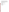confidential. If no claim of confidentiality is made, EPA is not required to make the inquiry to the applicant otherwise required by 40 CFR 2.204 (c)(2) prior to disclosure.

**NOTE:** Due to the unique circumstances involving U.S. postal mail screening *(that can delay delivery by several weeks),* the Agency strongly **recommends** that applicants use an express mail option (i.e., FedEx, UPS, DHL, etc.) to submit their concept proposals and full applications. **No late proposals will be considered.** Applicants must provide an original signed proposal and two copies to:

#### **Regular Mail Delivery Address (U.S. Postal Service)**

U.S.EPA Attn: Shelley Blake 1200 Pennsylvania Avenue, NW (Mail Code 6609J) Washington, DC 20460 Phone: (202) 343-9819

### **Express Delivery Address (i.e., FedEx, UPS, DHL, etc.)**

U.S.EPA Attn: Shelley Blake 1310 L Street, NW, Room 413J Washington, DC 20005 Phone: (202) 343-9819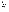# **V. APPLICATION REVIEW INFORMATION**

Each concept proposal will be evaluated against the proposal evaluation criterion set forth below. Concept proposals that are best able to directly and explicitly address these criteria will have a greater likelihood of selection. Each concept proposal will be rated under a points system, with a total of 200 points possible.

|     | <b>Proposal Evaluation Criterion</b>                                                                                                                                                                                      | <b>Maximum Points</b><br>per Criteria        |
|-----|---------------------------------------------------------------------------------------------------------------------------------------------------------------------------------------------------------------------------|----------------------------------------------|
|     |                                                                                                                                                                                                                           | (200 Point Scale)<br><b>Total Points: 60</b> |
|     | I. Project Goals and Objectives:                                                                                                                                                                                          |                                              |
| 1.  | The proposed project goals and objectives align with EPA's<br>Strategic Plan and indoor air quality priority area goals (as<br>described in Section I.C.1).                                                               | 15                                           |
| 2.  | The proposed project goals and objectives demonstrate the<br>ability to achieve substantial measurable environmental<br>outcomes (as described in Section I. C3.)                                                         | 15                                           |
| 3.  | The proposed project shows innovative approaches to<br>achieving project goals, objectives, and measurable<br>environmental outcomes.                                                                                     | 15                                           |
| 4.  | The proposed project goals and objectives are likely to reduce<br>exposures to indoor air pollutants for socio-economically<br>disadvantaged or disproportionately impacted populations (as<br>described in Section I.A). | 15                                           |
| II. | Narrative Workplan: Activities; Methods; Materials; and<br><b>Timeline:</b>                                                                                                                                               | <b>Total Points: 55</b>                      |
| 1.  | The narrative workplan sufficiently describes the activities,<br>methods, materials, and timeline that will be used to achieve<br>each goal, objective, and measurable environmental health<br>outcomes.                  | 10                                           |
| 2.  | The narrative workplan describes the practicality and<br>feasibility of project's proposed activities, methods, materials,<br>timeline for achieving the project goals, objectives and<br>outcomes.                       | 15                                           |
| 3.  | The narrative workplan describes activities, methods, and<br>materials that are appropriate for the designated target<br>audience(s).                                                                                     | 10                                           |
| 4.  | The narrative workplan demonstrates the development and<br>utilization of collaborations/partnerships to achieve the<br>project's goals, objectives, and measurable environmental<br>outcomes.                            | 10                                           |

# **A. Evaluation Criteria**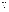| 5.  | The project timeline specifies quarterly and final reports, as<br>well as appropriate proposed milestones, and projected<br>timeframe of programmatic outputs and environmental health<br>outcomes.                                                                                                                                                                                                                                                                                                                                                                                                                                                                        | 10                      |
|-----|----------------------------------------------------------------------------------------------------------------------------------------------------------------------------------------------------------------------------------------------------------------------------------------------------------------------------------------------------------------------------------------------------------------------------------------------------------------------------------------------------------------------------------------------------------------------------------------------------------------------------------------------------------------------------|-------------------------|
|     | III. Organizational Experience and Past Performance                                                                                                                                                                                                                                                                                                                                                                                                                                                                                                                                                                                                                        | <b>Total Points: 20</b> |
| 1.  | The proposal provides evidence of sufficient organizational<br>experience, including relevant performance in achieving<br>substantial measurable environmental outcomes in past<br>projects of comparable size and scope.                                                                                                                                                                                                                                                                                                                                                                                                                                                  | 10                      |
| 2.  | The proposal demonstrates that the applicant has sufficient<br>past performance in completing federally and non-federally<br>funded projects similar in scope, size and relevance to the<br>proposed project, a history of meeting reporting requirements,<br>organizational experience, and staff expertise/qualifications.<br>In addition to evaluating applicants for programmatic<br>capability purposes, EPA will consider information provided<br>by the applicant in their application/proposal as well as<br>information from other sources including Agency files.<br>Applicants that do not have past performance history they will<br>receive a neutral rating. | 10                      |
|     | <b>IV. Project Sustainability and Replication</b>                                                                                                                                                                                                                                                                                                                                                                                                                                                                                                                                                                                                                          | <b>Total Points: 20</b> |
| 1.  | The proposed project addresses how applicant will sustain<br>successes in meeting goals, objectives, and environmental<br>outcomes beyond the conclusion of the EPA assistance<br>agreement.                                                                                                                                                                                                                                                                                                                                                                                                                                                                               | 5                       |
| 2.  | The proposed project addresses how the impacted audience<br>(e.g. schools, asthmatics, etc) will sustain successes in<br>achieving measurable outcomes beyond the conclusion of the<br>EPA assistance agreement.                                                                                                                                                                                                                                                                                                                                                                                                                                                           | 10                      |
| 3.  | The proposed project demonstrates that activities are<br>replicable and can yield large scale impacts.                                                                                                                                                                                                                                                                                                                                                                                                                                                                                                                                                                     | 5                       |
|     | V. Monitoring and Evaluating Environmental Results:                                                                                                                                                                                                                                                                                                                                                                                                                                                                                                                                                                                                                        | <b>Total Points: 25</b> |
| 1.  | The proposed project specifies practical approaches to<br>identify, measure, and evaluate programmatic outputs and<br>environmental outcomes and identifies baseline(s) to measure<br>them.                                                                                                                                                                                                                                                                                                                                                                                                                                                                                | 15                      |
| 2.  | The proposed project specifies how progress towards<br>achieving goals, objectives, and measurable environmental<br>outcomes will be tracked and reported.                                                                                                                                                                                                                                                                                                                                                                                                                                                                                                                 | 10                      |
| VI. | <b>Budget and Matching Funds:</b>                                                                                                                                                                                                                                                                                                                                                                                                                                                                                                                                                                                                                                          | <b>Total Points: 20</b> |
| 1.  | The proposed project budget is appropriate to accomplish the<br>proposed goals, objectives, and measurable environmental<br>outcomes. The budget also provides an approximation of the<br>percentage of the budget designated for each major activity.                                                                                                                                                                                                                                                                                                                                                                                                                     | 15                      |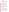| 2. | Under this criteria, applicants will be evaluated based on the<br>extent they demonstrate (i) how they will coordinate the use of<br>EPA funding with other Federal and/or non Federal sources of<br>funds to leverage additional resources to carry out the<br>proposed project(s) and/or (ii) that EPA funding will<br>compliment activities relevant to the proposed project(s)<br>carried out by the applicant with other sources of funds or<br>resources. |  |
|----|-----------------------------------------------------------------------------------------------------------------------------------------------------------------------------------------------------------------------------------------------------------------------------------------------------------------------------------------------------------------------------------------------------------------------------------------------------------------|--|
|----|-----------------------------------------------------------------------------------------------------------------------------------------------------------------------------------------------------------------------------------------------------------------------------------------------------------------------------------------------------------------------------------------------------------------------------------------------------------------|--|

### **B. Other Factors**

In addition to the evaluation of proposals against the ranking criteria described above in Section V. A., the following factors (listed below) may be considered by the Approving Official in making selection award decisions for all cooperative agreements:

- balance between indoor air quality program priority areas
- geographic balance among the EPA Regions
- diverse nature based on ranking of the projects proposed
- balance of type of community targeted (e.g., rural, urban, low-income, disadvantaged, underserved, disproportionately impacted populations, etc.)

### **C. Review and Selection Process**

Each concept proposal will be reviewed by an evaluation team with expertise in indoor air quality pollutant areas as well as public education, training and outreach activities. The evaluation team will base its evaluation on the evaluation criteria contained in Section V. of this RFA. The highest numerically ranked concept proposal(s) subject to their quality, the availability of funds, and consideration of factors listed in Section V. B., will be selected for this award.

# **VI. AWARD ADMINISTRATION INFORMATION**

# **A. Award Notices**

Following final selections, all applicants will be notified regarding the status of their application.

- 1. EPA will notify selected applicant(s) via telephone or email within 15 days after internal award recommendation decisions are made. This notification, which advises that the applicant's concept proposal is selected by review panel and recommended for award, is not an authorization to begin the project activities. The award notice signed by the EPA grants officer is the authorizing document and will be provided through postal mail. At a minimum, this process can take up to 60 days from the date of selection.
- 2. EPA will notify unsuccessful applicant(s) via telephone or email within 15 days after internal award recommendation decisions are made. In either event, the notification will be sent to the original signer of the concept proposal.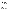# **B. Administrative and National Policy Requirements**

- 1. A listing and description of general EPA Regulations applicable to the award of assistance agreements may be viewed at: http://www.epa.gov/ogd/AppKit/applicable\_epa\_regulations\_and\_description.htm .
- 2. Executive Order 12372, Intergovernmental Review of Federal Programs may be applicable to awards, resulting from this announcement. Applicants selected for funding may be required to provide a copy of their proposal to their State Point of Contact (SPOC) for review, pursuant to Executive Order 12372, Intergovernmental Review of Federal Programs. This review is not required with the Initial Proposal and not all states require such a review.
- 3. All applicants are required to provide a Dun and Bradstreet (D&B) Data Universal Numbering System (DUNS) number when applying for a Federal grant or cooperative agreement. Applicants can receive a DUNS number, at no cost, by calling the dedicated toll-free DUNS Number request line at 1-866-705-5711, or visiting the D&B website at: http://www.dnb.com.
- 4. Grants and agreements with institutions of higher education are subject to 40 CFR Parts 30 and 40 and OMB circular A-122 for non-profits and A-21 for institutions of higher learning.
- 5. Programmatic Terms and conditions will be negotiated with the selected recipient.

# **C. Reporting Requirements**

Quarterly performance reports and a detailed final technical report will be required during the project performance period. The final technical report should include (but is not limited to) a summary covering work status, work progress, publications, and measurable environmental outputs/environmental outcomes pertinent to the project goals and objectives for the entire period. The schedule for submission of quarterly reports will be established by EPA, after award.

While the Agency will negotiate precise terms and conditions relating to substantial involvement as part of the award process, EPA expects to closely monitor the successful applicant(s) performance, collaborate during the performance of the scope of work, approve the substantive terms of proposed contracts, approve the qualifications of key personnel, review and comment on reports prepared under the cooperative agreement, and evaluate the engineering improvements on an EPA demonstration project. EPA will not select employees or contractors employed by the recipient(s) and the final decision on the content of reports rests with the recipient(s).

# **D. Disputes**

Assistance agreement competition-related disputes will be resolved in accordance with the dispute resolution procedures published in 70 FR (Federal Register) 3629, 3630 (January 26, 2005) which can be found at: http://www.epa.gov/fedrgstr/EPA-GENERAL/2005/January/Day-26/g1371.htm. Copies of these procedures may also be requested by contacting Victoria Drew.